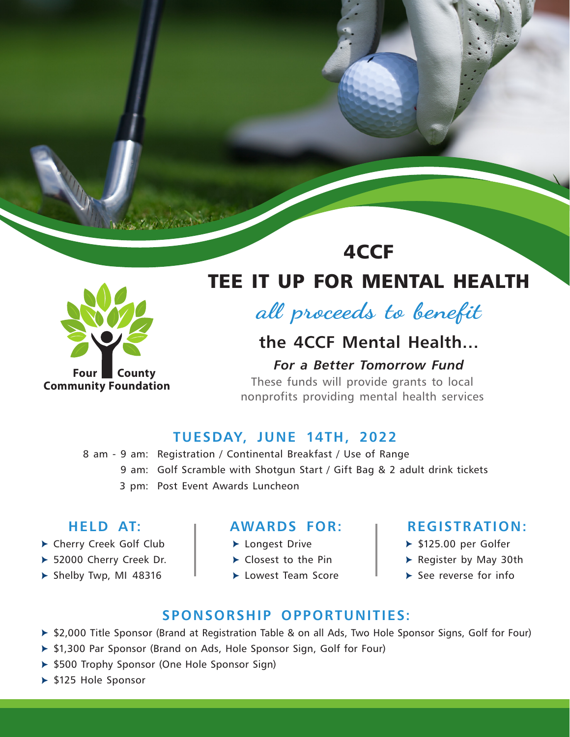

**Four County Community Foundation**

# TEE IT UP FOR MENTAL HEALTH

4CCF

**all proceeds to benefit**

## **the 4CCF Mental Health…**

#### *For a Better Tomorrow Fund*

These funds will provide grants to local nonprofits providing mental health services

## **TUESDAY, JUNE 14TH, 2022**

8 am - 9 am: Registration / Continental Breakfast / Use of Range 9 am: Golf Scramble with Shotgun Start / Gift Bag & 2 adult drink tickets 3 pm: Post Event Awards Luncheon

## **HELD AT:**

- ▶ Cherry Creek Golf Club
- ▶ 52000 Cherry Creek Dr.
- $\blacktriangleright$  Shelby Twp, MI 48316

#### **AWARDS FOR:**

- ▶ Longest Drive
- $\blacktriangleright$  Closest to the Pin
- Lowest Team Score

#### **REGISTRATION:**

- $\triangleright$  \$125.00 per Golfer
- Register by May 30th
- $\blacktriangleright$  See reverse for info

### **SPONSORSHIP OPPORTUNITIES:**

- ▶ \$2,000 Title Sponsor (Brand at Registration Table & on all Ads, Two Hole Sponsor Signs, Golf for Four)
- ▶ \$1,300 Par Sponsor (Brand on Ads, Hole Sponsor Sign, Golf for Four)
- ▶ \$500 Trophy Sponsor (One Hole Sponsor Sign)
- ▶ \$125 Hole Sponsor